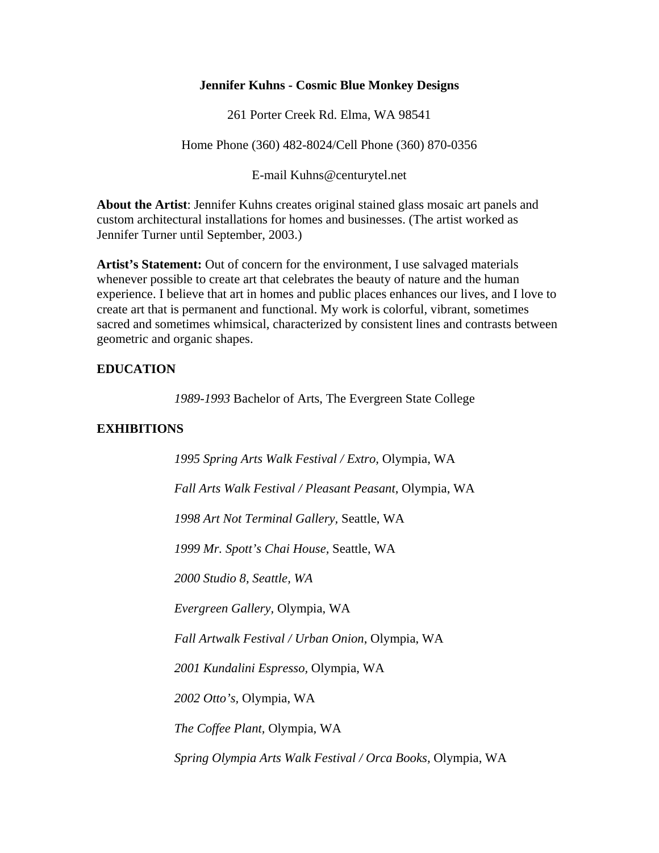## **Jennifer Kuhns - Cosmic Blue Monkey Designs**

261 Porter Creek Rd. Elma, WA 98541

Home Phone (360) 482-8024/Cell Phone (360) 870-0356

E-mail Kuhns@centurytel.net

**About the Artist**: Jennifer Kuhns creates original stained glass mosaic art panels and custom architectural installations for homes and businesses. (The artist worked as Jennifer Turner until September, 2003.)

**Artist's Statement:** Out of concern for the environment, I use salvaged materials whenever possible to create art that celebrates the beauty of nature and the human experience. I believe that art in homes and public places enhances our lives, and I love to create art that is permanent and functional. My work is colorful, vibrant, sometimes sacred and sometimes whimsical, characterized by consistent lines and contrasts between geometric and organic shapes.

## **EDUCATION**

*1989-1993* Bachelor of Arts, The Evergreen State College

## **EXHIBITIONS**

*1995 Spring Arts Walk Festival / Extro,* Olympia, WA *Fall Arts Walk Festival / Pleasant Peasant*, Olympia, WA *1998 Art Not Terminal Gallery,* Seattle, WA *1999 Mr. Spott's Chai House,* Seattle, WA *2000 Studio 8, Seattle, WA Evergreen Gallery,* Olympia, WA *Fall Artwalk Festival / Urban Onion*, Olympia, WA *2001 Kundalini Espresso,* Olympia, WA *2002 Otto's,* Olympia, WA *The Coffee Plant,* Olympia, WA *Spring Olympia Arts Walk Festival / Orca Books,* Olympia, WA